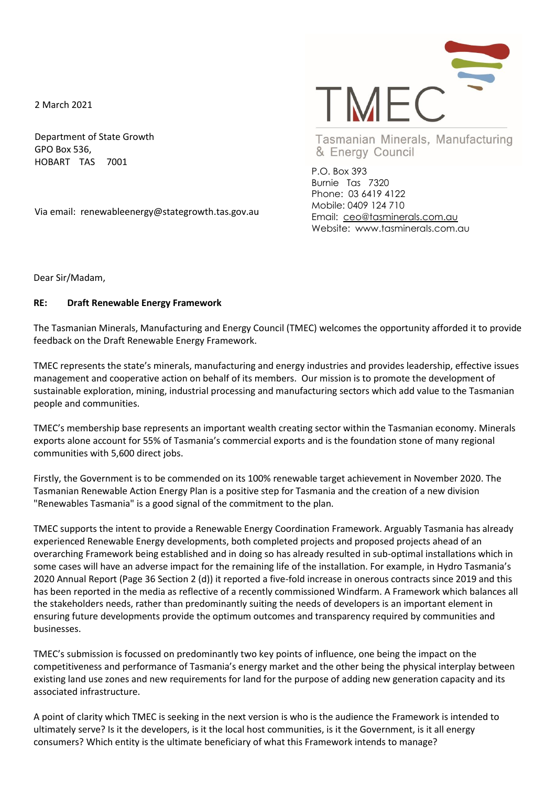2 March 2021

Department of State Growth GPO Box 536, HOBART TAS 7001

Via email: renewableenergy@stategrowth.tas.gov.au



Tasmanian Minerals, Manufacturing & Energy Council

P.O. Box 393 Burnie Tas 7320 Phone: 03 6419 4122 Mobile: 0409 124 710 Email: [ceo@tasminerals.com.au](mailto:ceo@tasminerals.com.au) Website: www.tasminerals.com.au

Dear Sir/Madam,

## **RE: Draft Renewable Energy Framework**

The Tasmanian Minerals, Manufacturing and Energy Council (TMEC) welcomes the opportunity afforded it to provide feedback on the Draft Renewable Energy Framework.

TMEC represents the state's minerals, manufacturing and energy industries and provides leadership, effective issues management and cooperative action on behalf of its members. Our mission is to promote the development of sustainable exploration, mining, industrial processing and manufacturing sectors which add value to the Tasmanian people and communities.

TMEC's membership base represents an important wealth creating sector within the Tasmanian economy. Minerals exports alone account for 55% of Tasmania's commercial exports and is the foundation stone of many regional communities with 5,600 direct jobs.

Firstly, the Government is to be commended on its 100% renewable target achievement in November 2020. The Tasmanian Renewable Action Energy Plan is a positive step for Tasmania and the creation of a new division "Renewables Tasmania" is a good signal of the commitment to the plan.

TMEC supports the intent to provide a Renewable Energy Coordination Framework. Arguably Tasmania has already experienced Renewable Energy developments, both completed projects and proposed projects ahead of an overarching Framework being established and in doing so has already resulted in sub-optimal installations which in some cases will have an adverse impact for the remaining life of the installation. For example, in Hydro Tasmania's 2020 Annual Report (Page 36 Section 2 (d)) it reported a five-fold increase in onerous contracts since 2019 and this has been reported in the media as reflective of a recently commissioned Windfarm. A Framework which balances all the stakeholders needs, rather than predominantly suiting the needs of developers is an important element in ensuring future developments provide the optimum outcomes and transparency required by communities and businesses.

TMEC's submission is focussed on predominantly two key points of influence, one being the impact on the competitiveness and performance of Tasmania's energy market and the other being the physical interplay between existing land use zones and new requirements for land for the purpose of adding new generation capacity and its associated infrastructure.

A point of clarity which TMEC is seeking in the next version is who is the audience the Framework is intended to ultimately serve? Is it the developers, is it the local host communities, is it the Government, is it all energy consumers? Which entity is the ultimate beneficiary of what this Framework intends to manage?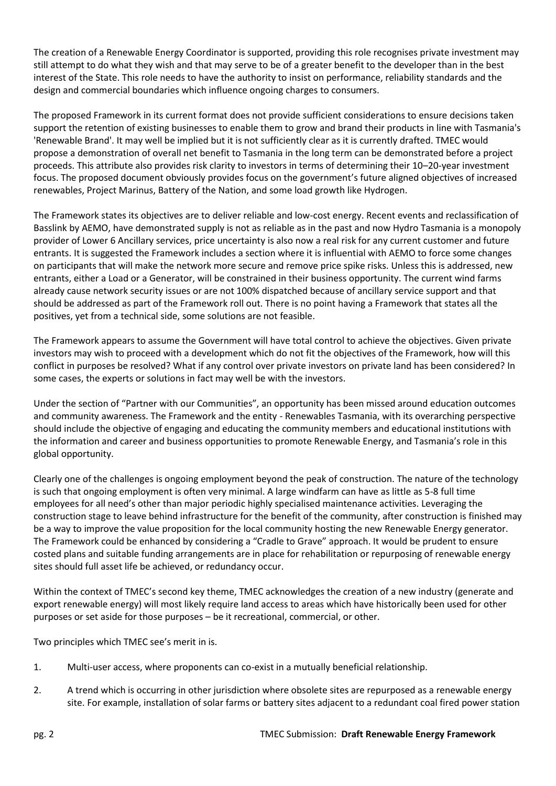The creation of a Renewable Energy Coordinator is supported, providing this role recognises private investment may still attempt to do what they wish and that may serve to be of a greater benefit to the developer than in the best interest of the State. This role needs to have the authority to insist on performance, reliability standards and the design and commercial boundaries which influence ongoing charges to consumers.

The proposed Framework in its current format does not provide sufficient considerations to ensure decisions taken support the retention of existing businesses to enable them to grow and brand their products in line with Tasmania's 'Renewable Brand'. It may well be implied but it is not sufficiently clear as it is currently drafted. TMEC would propose a demonstration of overall net benefit to Tasmania in the long term can be demonstrated before a project proceeds. This attribute also provides risk clarity to investors in terms of determining their 10–20-year investment focus. The proposed document obviously provides focus on the government's future aligned objectives of increased renewables, Project Marinus, Battery of the Nation, and some load growth like Hydrogen.

The Framework states its objectives are to deliver reliable and low-cost energy. Recent events and reclassification of Basslink by AEMO, have demonstrated supply is not as reliable as in the past and now Hydro Tasmania is a monopoly provider of Lower 6 Ancillary services, price uncertainty is also now a real risk for any current customer and future entrants. It is suggested the Framework includes a section where it is influential with AEMO to force some changes on participants that will make the network more secure and remove price spike risks. Unless this is addressed, new entrants, either a Load or a Generator, will be constrained in their business opportunity. The current wind farms already cause network security issues or are not 100% dispatched because of ancillary service support and that should be addressed as part of the Framework roll out. There is no point having a Framework that states all the positives, yet from a technical side, some solutions are not feasible.

The Framework appears to assume the Government will have total control to achieve the objectives. Given private investors may wish to proceed with a development which do not fit the objectives of the Framework, how will this conflict in purposes be resolved? What if any control over private investors on private land has been considered? In some cases, the experts or solutions in fact may well be with the investors.

Under the section of "Partner with our Communities", an opportunity has been missed around education outcomes and community awareness. The Framework and the entity - Renewables Tasmania, with its overarching perspective should include the objective of engaging and educating the community members and educational institutions with the information and career and business opportunities to promote Renewable Energy, and Tasmania's role in this global opportunity.

Clearly one of the challenges is ongoing employment beyond the peak of construction. The nature of the technology is such that ongoing employment is often very minimal. A large windfarm can have as little as 5-8 full time employees for all need's other than major periodic highly specialised maintenance activities. Leveraging the construction stage to leave behind infrastructure for the benefit of the community, after construction is finished may be a way to improve the value proposition for the local community hosting the new Renewable Energy generator. The Framework could be enhanced by considering a "Cradle to Grave" approach. It would be prudent to ensure costed plans and suitable funding arrangements are in place for rehabilitation or repurposing of renewable energy sites should full asset life be achieved, or redundancy occur.

Within the context of TMEC's second key theme, TMEC acknowledges the creation of a new industry (generate and export renewable energy) will most likely require land access to areas which have historically been used for other purposes or set aside for those purposes – be it recreational, commercial, or other.

Two principles which TMEC see's merit in is.

- 1. Multi-user access, where proponents can co-exist in a mutually beneficial relationship.
- 2. A trend which is occurring in other jurisdiction where obsolete sites are repurposed as a renewable energy site. For example, installation of solar farms or battery sites adjacent to a redundant coal fired power station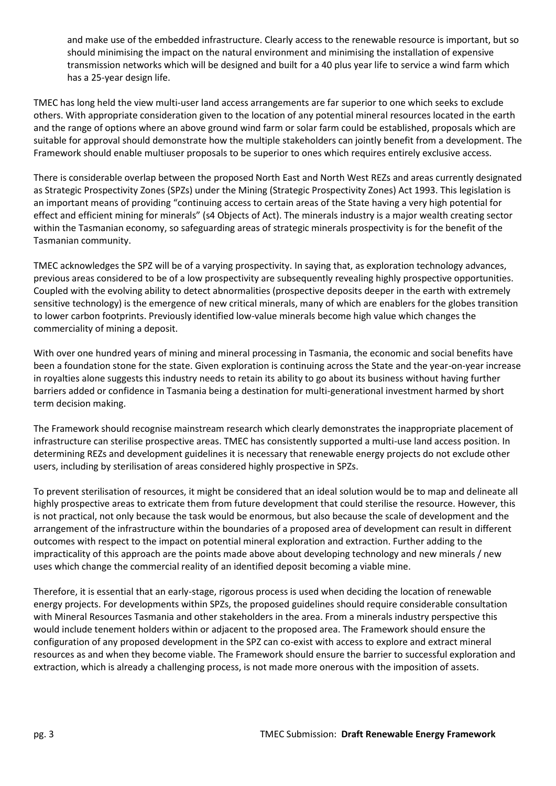and make use of the embedded infrastructure. Clearly access to the renewable resource is important, but so should minimising the impact on the natural environment and minimising the installation of expensive transmission networks which will be designed and built for a 40 plus year life to service a wind farm which has a 25-year design life.

TMEC has long held the view multi-user land access arrangements are far superior to one which seeks to exclude others. With appropriate consideration given to the location of any potential mineral resources located in the earth and the range of options where an above ground wind farm or solar farm could be established, proposals which are suitable for approval should demonstrate how the multiple stakeholders can jointly benefit from a development. The Framework should enable multiuser proposals to be superior to ones which requires entirely exclusive access.

There is considerable overlap between the proposed North East and North West REZs and areas currently designated as Strategic Prospectivity Zones (SPZs) under the Mining (Strategic Prospectivity Zones) Act 1993. This legislation is an important means of providing "continuing access to certain areas of the State having a very high potential for effect and efficient mining for minerals" (s4 Objects of Act). The minerals industry is a major wealth creating sector within the Tasmanian economy, so safeguarding areas of strategic minerals prospectivity is for the benefit of the Tasmanian community.

TMEC acknowledges the SPZ will be of a varying prospectivity. In saying that, as exploration technology advances, previous areas considered to be of a low prospectivity are subsequently revealing highly prospective opportunities. Coupled with the evolving ability to detect abnormalities (prospective deposits deeper in the earth with extremely sensitive technology) is the emergence of new critical minerals, many of which are enablers for the globes transition to lower carbon footprints. Previously identified low-value minerals become high value which changes the commerciality of mining a deposit.

With over one hundred years of mining and mineral processing in Tasmania, the economic and social benefits have been a foundation stone for the state. Given exploration is continuing across the State and the year-on-year increase in royalties alone suggests this industry needs to retain its ability to go about its business without having further barriers added or confidence in Tasmania being a destination for multi-generational investment harmed by short term decision making.

The Framework should recognise mainstream research which clearly demonstrates the inappropriate placement of infrastructure can sterilise prospective areas. TMEC has consistently supported a multi-use land access position. In determining REZs and development guidelines it is necessary that renewable energy projects do not exclude other users, including by sterilisation of areas considered highly prospective in SPZs.

To prevent sterilisation of resources, it might be considered that an ideal solution would be to map and delineate all highly prospective areas to extricate them from future development that could sterilise the resource. However, this is not practical, not only because the task would be enormous, but also because the scale of development and the arrangement of the infrastructure within the boundaries of a proposed area of development can result in different outcomes with respect to the impact on potential mineral exploration and extraction. Further adding to the impracticality of this approach are the points made above about developing technology and new minerals / new uses which change the commercial reality of an identified deposit becoming a viable mine.

Therefore, it is essential that an early-stage, rigorous process is used when deciding the location of renewable energy projects. For developments within SPZs, the proposed guidelines should require considerable consultation with Mineral Resources Tasmania and other stakeholders in the area. From a minerals industry perspective this would include tenement holders within or adjacent to the proposed area. The Framework should ensure the configuration of any proposed development in the SPZ can co-exist with access to explore and extract mineral resources as and when they become viable. The Framework should ensure the barrier to successful exploration and extraction, which is already a challenging process, is not made more onerous with the imposition of assets.